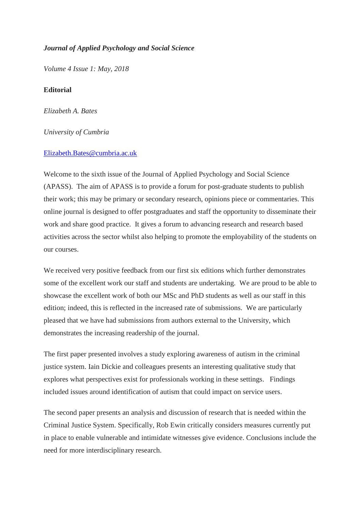## *Journal of Applied Psychology and Social Science*

*Volume 4 Issue 1: May, 2018*

## **Editorial**

*Elizabeth A. Bates*

## *University of Cumbria*

## [Elizabeth.Bates@cumbria.ac.uk](mailto:Elizabeth.Bates@cumbria.ac.uk)

Welcome to the sixth issue of the Journal of Applied Psychology and Social Science (APASS). The aim of APASS is to provide a forum for post-graduate students to publish their work; this may be primary or secondary research, opinions piece or commentaries. This online journal is designed to offer postgraduates and staff the opportunity to disseminate their work and share good practice. It gives a forum to advancing research and research based activities across the sector whilst also helping to promote the employability of the students on our courses.

We received very positive feedback from our first six editions which further demonstrates some of the excellent work our staff and students are undertaking. We are proud to be able to showcase the excellent work of both our MSc and PhD students as well as our staff in this edition; indeed, this is reflected in the increased rate of submissions. We are particularly pleased that we have had submissions from authors external to the University, which demonstrates the increasing readership of the journal.

The first paper presented involves a study exploring awareness of autism in the criminal justice system. Iain Dickie and colleagues presents an interesting qualitative study that explores what perspectives exist for professionals working in these settings. Findings included issues around identification of autism that could impact on service users.

The second paper presents an analysis and discussion of research that is needed within the Criminal Justice System. Specifically, Rob Ewin critically considers measures currently put in place to enable vulnerable and intimidate witnesses give evidence. Conclusions include the need for more interdisciplinary research.